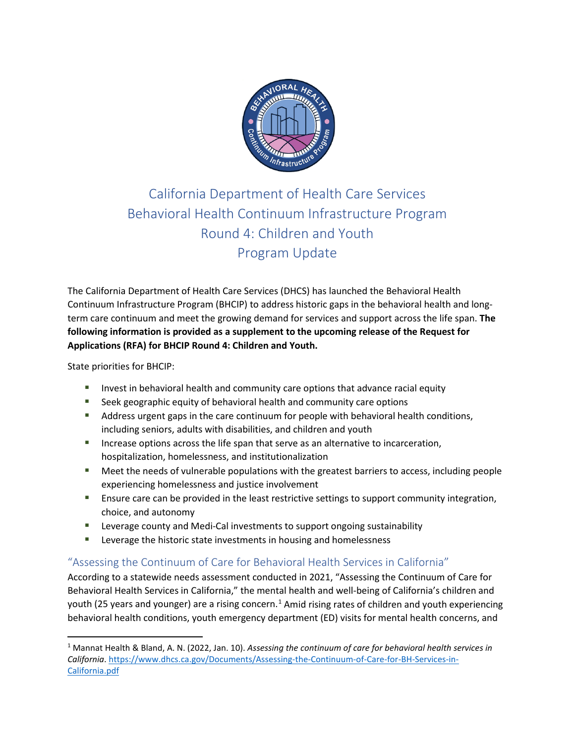

# California Department of Health Care Services Behavioral Health Continuum Infrastructure Program Round 4: Children and Youth Program Update

The California Department of Health Care Services (DHCS) has launched the Behavioral Health Continuum Infrastructure Program (BHCIP) to address historic gaps in the behavioral health and longterm care continuum and meet the growing demand for services and support across the life span. **The following information is provided as a supplement to the upcoming release of the Request for Applications (RFA) for BHCIP Round 4: Children and Youth.**

State priorities for BHCIP:

- **Invest in behavioral health and community care options that advance racial equity**
- **Seek geographic equity of behavioral health and community care options**
- Address urgent gaps in the care continuum for people with behavioral health conditions, including seniors, adults with disabilities, and children and youth
- **Increase options across the life span that serve as an alternative to incarceration,** hospitalization, homelessness, and institutionalization
- **Meet the needs of vulnerable populations with the greatest barriers to access, including people** experiencing homelessness and justice involvement
- **EXECT** Ensure care can be provided in the least restrictive settings to support community integration, choice, and autonomy
- **EXECTE:** Leverage county and Medi-Cal investments to support ongoing sustainability
- **EXECTE:** Leverage the historic state investments in housing and homelessness

## "Assessing the Continuum of Care for Behavioral Health Services in California"

According to a statewide needs assessment conducted in 2021, "Assessing the Continuum of Care for Behavioral Health Services in California," the mental health and well-being of California's children and youth (25 years and younger) are a rising concern.<sup>[1](#page-0-0)</sup> Amid rising rates of children and youth experiencing behavioral health conditions, youth emergency department (ED) visits for mental health concerns, and

<span id="page-0-0"></span><sup>1</sup> Mannat Health & Bland, A. N. (2022, Jan. 10). *Assessing the continuum of care for behavioral health services in California*. [https://www.dhcs.ca.gov/Documents/Assessing-the-Continuum-of-Care-for-BH-Services-in-](https://www.dhcs.ca.gov/Documents/Assessing-the-Continuum-of-Care-for-BH-Services-in-California.pdf)[California.pdf](https://www.dhcs.ca.gov/Documents/Assessing-the-Continuum-of-Care-for-BH-Services-in-California.pdf)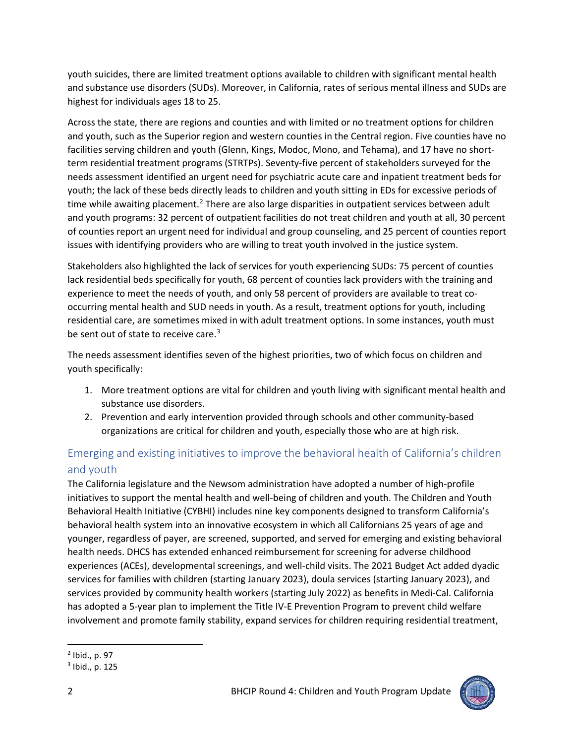youth suicides, there are limited treatment options available to children with significant mental health and substance use disorders (SUDs). Moreover, in California, rates of serious mental illness and SUDs are highest for individuals ages 18 to 25.

Across the state, there are regions and counties and with limited or no treatment options for children and youth, such as the Superior region and western counties in the Central region. Five counties have no facilities serving children and youth (Glenn, Kings, Modoc, Mono, and Tehama), and 17 have no shortterm residential treatment programs (STRTPs). Seventy-five percent of stakeholders surveyed for the needs assessment identified an urgent need for psychiatric acute care and inpatient treatment beds for youth; the lack of these beds directly leads to children and youth sitting in EDs for excessive periods of time while awaiting placement.<sup>[2](#page-1-0)</sup> There are also large disparities in outpatient services between adult and youth programs: 32 percent of outpatient facilities do not treat children and youth at all, 30 percent of counties report an urgent need for individual and group counseling, and 25 percent of counties report issues with identifying providers who are willing to treat youth involved in the justice system.

Stakeholders also highlighted the lack of services for youth experiencing SUDs: 75 percent of counties lack residential beds specifically for youth, 68 percent of counties lack providers with the training and experience to meet the needs of youth, and only 58 percent of providers are available to treat cooccurring mental health and SUD needs in youth. As a result, treatment options for youth, including residential care, are sometimes mixed in with adult treatment options. In some instances, youth must be sent out of state to receive care. $3$ 

The needs assessment identifies seven of the highest priorities, two of which focus on children and youth specifically:

- 1. More treatment options are vital for children and youth living with significant mental health and substance use disorders.
- 2. Prevention and early intervention provided through schools and other community-based organizations are critical for children and youth, especially those who are at high risk.

# Emerging and existing initiatives to improve the behavioral health of California's children and youth

The California legislature and the Newsom administration have adopted a number of high-profile initiatives to support the mental health and well-being of children and youth. The Children and Youth Behavioral Health Initiative (CYBHI) includes nine key components designed to transform California's behavioral health system into an innovative ecosystem in which all Californians 25 years of age and younger, regardless of payer, are screened, supported, and served for emerging and existing behavioral health needs. DHCS has extended enhanced reimbursement for screening for adverse childhood experiences (ACEs), developmental screenings, and well-child visits. The 2021 Budget Act added dyadic services for families with children (starting January 2023), doula services (starting January 2023), and services provided by community health workers (starting July 2022) as benefits in Medi-Cal. California has adopted a 5-year plan to implement the Title IV-E Prevention Program to prevent child welfare involvement and promote family stability, expand services for children requiring residential treatment,



<span id="page-1-0"></span><sup>2</sup> Ibid., p. 97

<span id="page-1-1"></span><sup>3</sup> Ibid., p. 125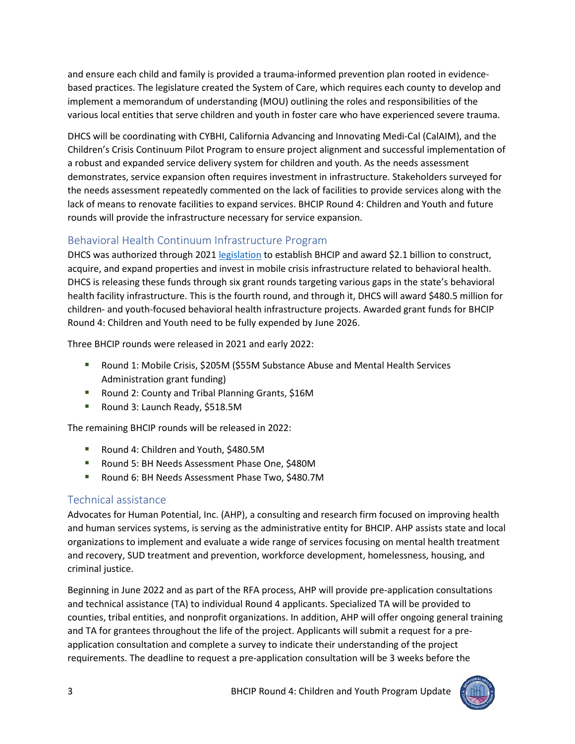and ensure each child and family is provided a trauma-informed prevention plan rooted in evidencebased practices. The legislature created the System of Care, which requires each county to develop and implement a memorandum of understanding (MOU) outlining the roles and responsibilities of the various local entities that serve children and youth in foster care who have experienced severe trauma.

DHCS will be coordinating with CYBHI, California Advancing and Innovating Medi-Cal (CalAIM), and the Children's Crisis Continuum Pilot Program to ensure project alignment and successful implementation of a robust and expanded service delivery system for children and youth. As the needs assessment demonstrates, service expansion often requires investment in infrastructure. Stakeholders surveyed for the needs assessment repeatedly commented on the lack of facilities to provide services along with the lack of means to renovate facilities to expand services. BHCIP Round 4: Children and Youth and future rounds will provide the infrastructure necessary for service expansion.

## Behavioral Health Continuum Infrastructure Program

DHCS was authorized through 2021 [legislation](https://leginfo.legislature.ca.gov/faces/codes_displayText.xhtml?lawCode=WIC&division=5.&title=&part=7.&chapter=1.&article=) to establish BHCIP and award \$2.1 billion to construct, acquire, and expand properties and invest in mobile crisis infrastructure related to behavioral health. DHCS is releasing these funds through six grant rounds targeting various gaps in the state's behavioral health facility infrastructure. This is the fourth round, and through it, DHCS will award \$480.5 million for children- and youth-focused behavioral health infrastructure projects. Awarded grant funds for BHCIP Round 4: Children and Youth need to be fully expended by June 2026.

Three BHCIP rounds were released in 2021 and early 2022:

- **Round 1: Mobile Crisis, \$205M (\$55M Substance Abuse and Mental Health Services** Administration grant funding)
- **Round 2: County and Tribal Planning Grants, \$16M**
- Round 3: Launch Ready, \$518.5M

The remaining BHCIP rounds will be released in 2022:

- Round 4: Children and Youth, \$480.5M
- Round 5: BH Needs Assessment Phase One, \$480M
- Round 6: BH Needs Assessment Phase Two, \$480.7M

# Technical assistance

Advocates for Human Potential, Inc. (AHP), a consulting and research firm focused on improving health and human services systems, is serving as the administrative entity for BHCIP. AHP assists state and local organizations to implement and evaluate a wide range of services focusing on mental health treatment and recovery, SUD treatment and prevention, workforce development, homelessness, housing, and criminal justice.

Beginning in June 2022 and as part of the RFA process, AHP will provide pre-application consultations and technical assistance (TA) to individual Round 4 applicants. Specialized TA will be provided to counties, tribal entities, and nonprofit organizations. In addition, AHP will offer ongoing general training and TA for grantees throughout the life of the project. Applicants will submit a request for a preapplication consultation and complete a survey to indicate their understanding of the project requirements. The deadline to request a pre-application consultation will be 3 weeks before the

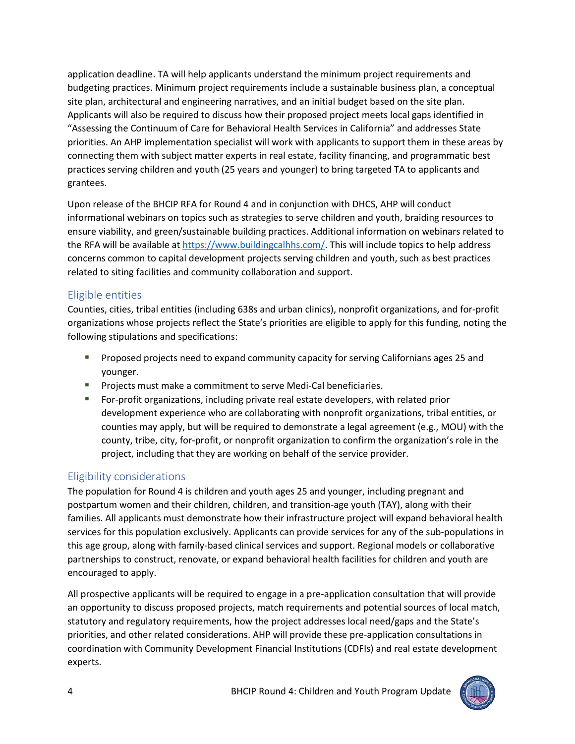application deadline. TA will help applicants understand the minimum project requirements and budgeting practices. Minimum project requirements include a sustainable business plan, a conceptual site plan, architectural and engineering narratives, and an initial budget based on the site plan. Applicants will also be required to discuss how their proposed project meets local gaps identified in "Assessing the Continuum of Care for Behavioral Health Services in California" and addresses State priorities. An AHP implementation specialist will work with applicants to support them in these areas by connecting them with subject matter experts in real estate, facility financing, and programmatic best practices serving children and youth (25 years and younger) to bring targeted TA to applicants and grantees.

Upon release of the BHCIP RFA for Round 4 and in conjunction with DHCS, AHP will conduct informational webinars on topics such as strategies to serve children and youth, braiding resources to ensure viability, and green/sustainable building practices. Additional information on webinars related to the RFA will be available at [https://www.buildingcalhhs.com/.](https://www.buildingcalhhs.com/) This will include topics to help address concerns common to capital development projects serving children and youth, such as best practices related to siting facilities and community collaboration and support.

#### Eligible entities

Counties, cities, tribal entities (including 638s and urban clinics), nonprofit organizations, and for-profit organizations whose projects reflect the State's priorities are eligible to apply for this funding, noting the following stipulations and specifications:

- **Proposed projects need to expand community capacity for serving Californians ages 25 and** younger.
- **Projects must make a commitment to serve Medi-Cal beneficiaries.**
- For-profit organizations, including private real estate developers, with related prior development experience who are collaborating with nonprofit organizations, tribal entities, or counties may apply, but will be required to demonstrate a legal agreement (e.g., MOU) with the county, tribe, city, for-profit, or nonprofit organization to confirm the organization's role in the project, including that they are working on behalf of the service provider.

## Eligibility considerations

The population for Round 4 is children and youth ages 25 and younger, including pregnant and postpartum women and their children, children, and transition-age youth (TAY), along with their families. All applicants must demonstrate how their infrastructure project will expand behavioral health services for this population exclusively. Applicants can provide services for any of the sub-populations in this age group, along with family-based clinical services and support. Regional models or collaborative partnerships to construct, renovate, or expand behavioral health facilities for children and youth are encouraged to apply.

All prospective applicants will be required to engage in a pre-application consultation that will provide an opportunity to discuss proposed projects, match requirements and potential sources of local match, statutory and regulatory requirements, how the project addresses local need/gaps and the State's priorities, and other related considerations. AHP will provide these pre-application consultations in coordination with Community Development Financial Institutions (CDFIs) and real estate development experts.

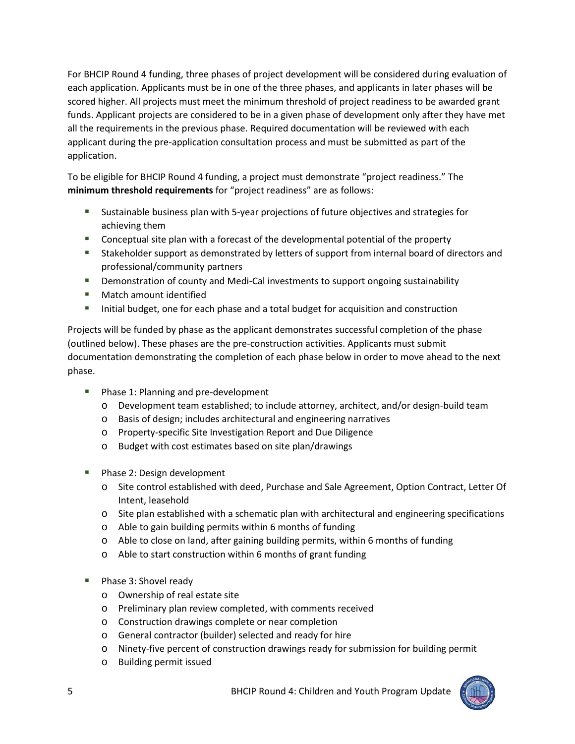For BHCIP Round 4 funding, three phases of project development will be considered during evaluation of each application. Applicants must be in one of the three phases, and applicants in later phases will be scored higher. All projects must meet the minimum threshold of project readiness to be awarded grant funds. Applicant projects are considered to be in a given phase of development only after they have met all the requirements in the previous phase. Required documentation will be reviewed with each applicant during the pre-application consultation process and must be submitted as part of the application.

To be eligible for BHCIP Round 4 funding, a project must demonstrate "project readiness." The **minimum threshold requirements** for "project readiness" are as follows:

- Sustainable business plan with 5-year projections of future objectives and strategies for achieving them
- Conceptual site plan with a forecast of the developmental potential of the property
- **Stakeholder support as demonstrated by letters of support from internal board of directors and** professional/community partners
- **Demonstration of county and Medi-Cal investments to support ongoing sustainability**
- **Natch amount identified**
- **Initial budget, one for each phase and a total budget for acquisition and construction**

Projects will be funded by phase as the applicant demonstrates successful completion of the phase (outlined below). These phases are the pre-construction activities. Applicants must submit documentation demonstrating the completion of each phase below in order to move ahead to the next phase.

- **Phase 1: Planning and pre-development** 
	- o Development team established; to include attorney, architect, and/or design-build team
	- o Basis of design; includes architectural and engineering narratives
	- o Property-specific Site Investigation Report and Due Diligence
	- o Budget with cost estimates based on site plan/drawings
- **Phase 2: Design development** 
	- o Site control established with deed, Purchase and Sale Agreement, Option Contract, Letter Of Intent, leasehold
	- o Site plan established with a schematic plan with architectural and engineering specifications
	- o Able to gain building permits within 6 months of funding
	- o Able to close on land, after gaining building permits, within 6 months of funding
	- o Able to start construction within 6 months of grant funding
- Phase 3: Shovel ready
	- o Ownership of real estate site
	- o Preliminary plan review completed, with comments received
	- o Construction drawings complete or near completion
	- o General contractor (builder) selected and ready for hire
	- o Ninety-five percent of construction drawings ready for submission for building permit
	- o Building permit issued

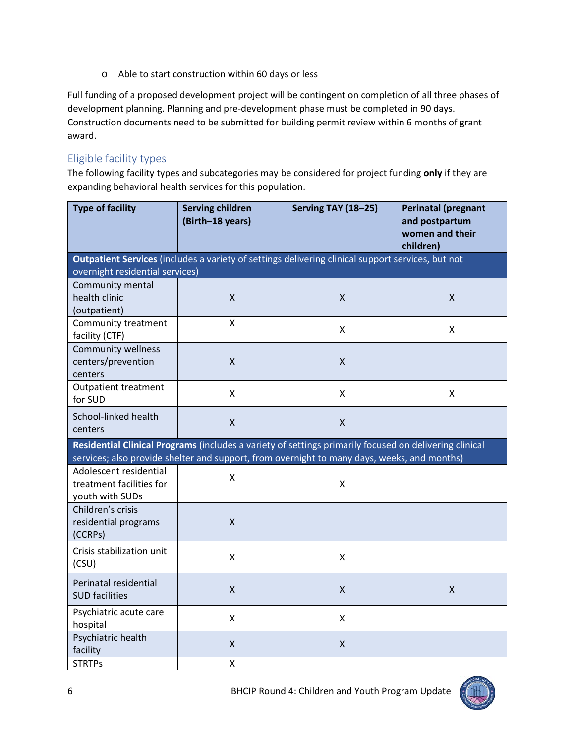o Able to start construction within 60 days or less

Full funding of a proposed development project will be contingent on completion of all three phases of development planning. Planning and pre-development phase must be completed in 90 days. Construction documents need to be submitted for building permit review within 6 months of grant award.

#### Eligible facility types

The following facility types and subcategories may be considered for project funding **only** if they are expanding behavioral health services for this population.

| <b>Type of facility</b>                                                                                                                                                                               | <b>Serving children</b><br>(Birth-18 years) | Serving TAY (18-25)       | <b>Perinatal (pregnant</b><br>and postpartum<br>women and their<br>children) |
|-------------------------------------------------------------------------------------------------------------------------------------------------------------------------------------------------------|---------------------------------------------|---------------------------|------------------------------------------------------------------------------|
| Outpatient Services (includes a variety of settings delivering clinical support services, but not                                                                                                     |                                             |                           |                                                                              |
| overnight residential services)<br>Community mental                                                                                                                                                   |                                             |                           |                                                                              |
| health clinic                                                                                                                                                                                         | X                                           | $\mathsf{X}$              | $\mathsf{X}$                                                                 |
| (outpatient)                                                                                                                                                                                          |                                             |                           |                                                                              |
| Community treatment                                                                                                                                                                                   | X                                           | X                         | X                                                                            |
| facility (CTF)                                                                                                                                                                                        |                                             |                           |                                                                              |
| <b>Community wellness</b>                                                                                                                                                                             | $\mathsf{X}$                                | $\mathsf{X}$              |                                                                              |
| centers/prevention<br>centers                                                                                                                                                                         |                                             |                           |                                                                              |
| <b>Outpatient treatment</b>                                                                                                                                                                           |                                             |                           |                                                                              |
| for SUD                                                                                                                                                                                               | X                                           | $\mathsf{X}$              | X                                                                            |
| School-linked health                                                                                                                                                                                  | $\pmb{\mathsf{X}}$                          | $\pmb{\mathsf{X}}$        |                                                                              |
| centers                                                                                                                                                                                               |                                             |                           |                                                                              |
| Residential Clinical Programs (includes a variety of settings primarily focused on delivering clinical<br>services; also provide shelter and support, from overnight to many days, weeks, and months) |                                             |                           |                                                                              |
| Adolescent residential                                                                                                                                                                                |                                             |                           |                                                                              |
| treatment facilities for                                                                                                                                                                              | Χ                                           | X                         |                                                                              |
| youth with SUDs                                                                                                                                                                                       |                                             |                           |                                                                              |
| Children's crisis                                                                                                                                                                                     |                                             |                           |                                                                              |
| residential programs                                                                                                                                                                                  | X                                           |                           |                                                                              |
| (CCRPs)                                                                                                                                                                                               |                                             |                           |                                                                              |
| Crisis stabilization unit                                                                                                                                                                             | Χ                                           | $\boldsymbol{\mathsf{X}}$ |                                                                              |
| (CSU)                                                                                                                                                                                                 |                                             |                           |                                                                              |
| Perinatal residential                                                                                                                                                                                 | $\mathsf{X}$                                | $\mathsf{x}$              | $\mathsf{x}$                                                                 |
| <b>SUD facilities</b>                                                                                                                                                                                 |                                             |                           |                                                                              |
| Psychiatric acute care<br>hospital                                                                                                                                                                    | Χ                                           | X                         |                                                                              |
| Psychiatric health                                                                                                                                                                                    | X                                           | X                         |                                                                              |
| facility                                                                                                                                                                                              |                                             |                           |                                                                              |
| <b>STRTPs</b>                                                                                                                                                                                         | Χ                                           |                           |                                                                              |



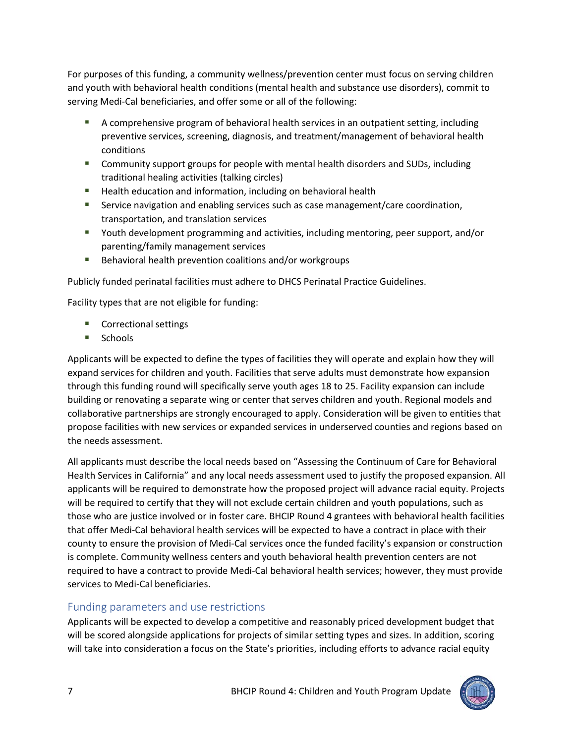For purposes of this funding, a community wellness/prevention center must focus on serving children and youth with behavioral health conditions (mental health and substance use disorders), commit to serving Medi-Cal beneficiaries, and offer some or all of the following:

- A comprehensive program of behavioral health services in an outpatient setting, including preventive services, screening, diagnosis, and treatment/management of behavioral health conditions
- Community support groups for people with mental health disorders and SUDs, including traditional healing activities (talking circles)
- **Health education and information, including on behavioral health**
- **Service navigation and enabling services such as case management/care coordination,** transportation, and translation services
- Youth development programming and activities, including mentoring, peer support, and/or parenting/family management services
- Behavioral health prevention coalitions and/or workgroups

Publicly funded perinatal facilities must adhere to DHCS Perinatal Practice Guidelines.

Facility types that are not eligible for funding:

- Correctional settings
- $Schools$

Applicants will be expected to define the types of facilities they will operate and explain how they will expand services for children and youth. Facilities that serve adults must demonstrate how expansion through this funding round will specifically serve youth ages 18 to 25. Facility expansion can include building or renovating a separate wing or center that serves children and youth. Regional models and collaborative partnerships are strongly encouraged to apply. Consideration will be given to entities that propose facilities with new services or expanded services in underserved counties and regions based on the needs assessment.

All applicants must describe the local needs based on "Assessing the Continuum of Care for Behavioral Health Services in California" and any local needs assessment used to justify the proposed expansion. All applicants will be required to demonstrate how the proposed project will advance racial equity. Projects will be required to certify that they will not exclude certain children and youth populations, such as those who are justice involved or in foster care. BHCIP Round 4 grantees with behavioral health facilities that offer Medi-Cal behavioral health services will be expected to have a contract in place with their county to ensure the provision of Medi-Cal services once the funded facility's expansion or construction is complete. Community wellness centers and youth behavioral health prevention centers are not required to have a contract to provide Medi-Cal behavioral health services; however, they must provide services to Medi-Cal beneficiaries.

#### Funding parameters and use restrictions

Applicants will be expected to develop a competitive and reasonably priced development budget that will be scored alongside applications for projects of similar setting types and sizes. In addition, scoring will take into consideration a focus on the State's priorities, including efforts to advance racial equity